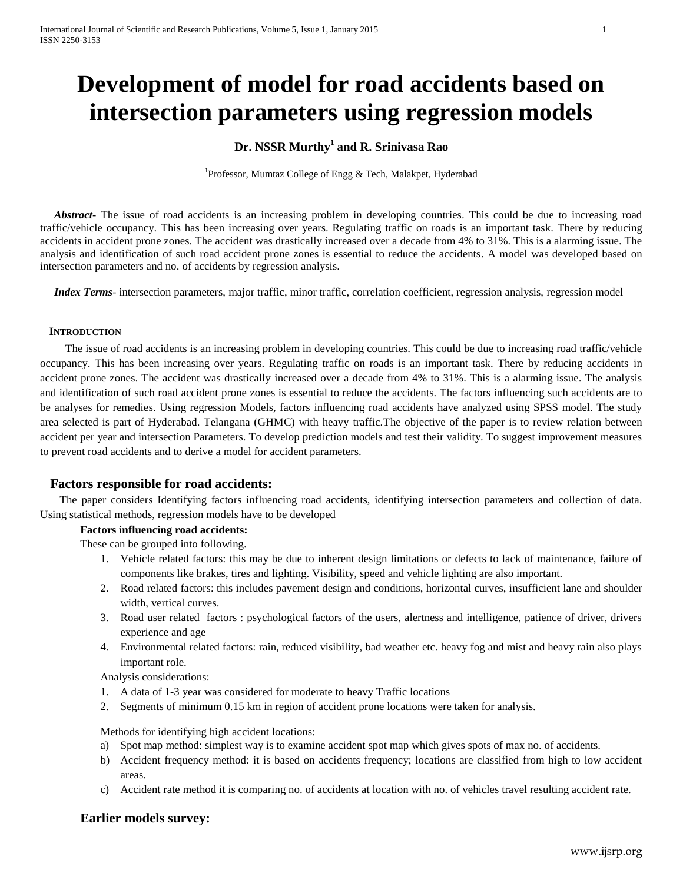# **Development of model for road accidents based on intersection parameters using regression models**

## **Dr. NSSR Murthy<sup>1</sup> and R. Srinivasa Rao**

<sup>1</sup>Professor, Mumtaz College of Engg & Tech, Malakpet, Hyderabad

Abstract<sub>r</sub> The issue of road accidents is an increasing problem in developing countries. This could be due to increasing road traffic/vehicle occupancy. This has been increasing over years. Regulating traffic on roads is an important task. There by reducing accidents in accident prone zones. The accident was drastically increased over a decade from 4% to 31%. This is a alarming issue. The analysis and identification of such road accident prone zones is essential to reduce the accidents. A model was developed based on intersection parameters and no. of accidents by regression analysis.

 *Index Terms*- intersection parameters, major traffic, minor traffic, correlation coefficient, regression analysis, regression model

#### **INTRODUCTION**

 The issue of road accidents is an increasing problem in developing countries. This could be due to increasing road traffic/vehicle occupancy. This has been increasing over years. Regulating traffic on roads is an important task. There by reducing accidents in accident prone zones. The accident was drastically increased over a decade from 4% to 31%. This is a alarming issue. The analysis and identification of such road accident prone zones is essential to reduce the accidents. The factors influencing such accidents are to be analyses for remedies. Using regression Models, factors influencing road accidents have analyzed using SPSS model. The study area selected is part of Hyderabad. Telangana (GHMC) with heavy traffic.The objective of the paper is to review relation between accident per year and intersection Parameters. To develop prediction models and test their validity. To suggest improvement measures to prevent road accidents and to derive a model for accident parameters.

## **Factors responsible for road accidents:**

 The paper considers Identifying factors influencing road accidents, identifying intersection parameters and collection of data. Using statistical methods, regression models have to be developed

#### **Factors influencing road accidents:**

These can be grouped into following.

- 1. Vehicle related factors: this may be due to inherent design limitations or defects to lack of maintenance, failure of components like brakes, tires and lighting. Visibility, speed and vehicle lighting are also important.
- 2. Road related factors: this includes pavement design and conditions, horizontal curves, insufficient lane and shoulder width, vertical curves.
- 3. Road user related factors : psychological factors of the users, alertness and intelligence, patience of driver, drivers experience and age
- 4. Environmental related factors: rain, reduced visibility, bad weather etc. heavy fog and mist and heavy rain also plays important role.

Analysis considerations:

- 1. A data of 1-3 year was considered for moderate to heavy Traffic locations
- 2. Segments of minimum 0.15 km in region of accident prone locations were taken for analysis.

Methods for identifying high accident locations:

- a) Spot map method: simplest way is to examine accident spot map which gives spots of max no. of accidents.
- b) Accident frequency method: it is based on accidents frequency; locations are classified from high to low accident areas.
- c) Accident rate method it is comparing no. of accidents at location with no. of vehicles travel resulting accident rate.

## **Earlier models survey:**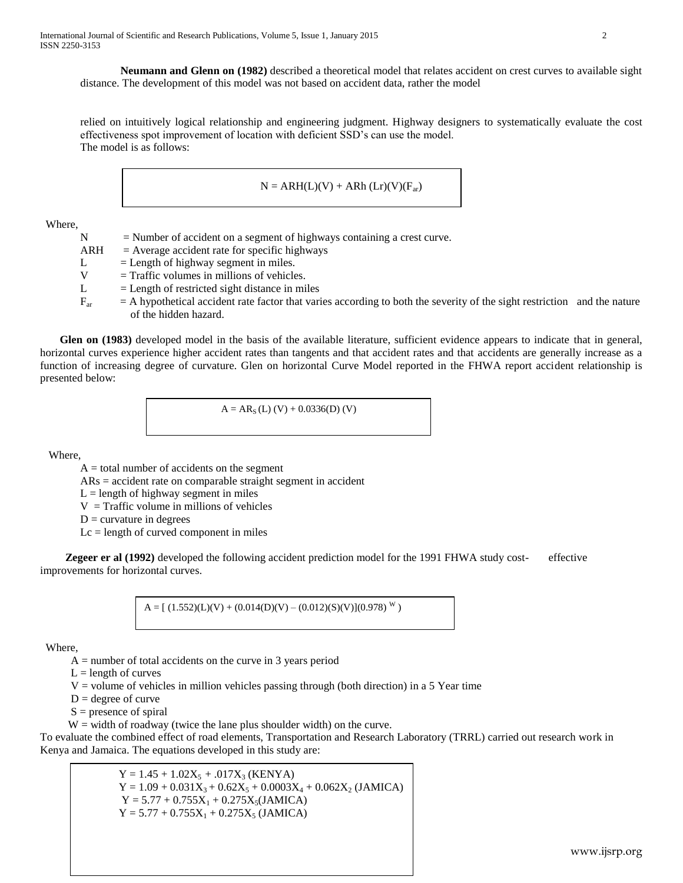**Neumann and Glenn on (1982)** described a theoretical model that relates accident on crest curves to available sight distance. The development of this model was not based on accident data, rather the model

relied on intuitively logical relationship and engineering judgment. Highway designers to systematically evaluate the cost effectiveness spot improvement of location with deficient SSD's can use the model. The model is as follows:

$$
N = ARH(L)(V) + ARh(Lr)(V)(F_{ar})
$$

Where,

 $N =$  Number of accident on a segment of highways containing a crest curve.  $ARH = Average accident rate for specific highways$ L  $=$  Length of highway segment in miles.<br>V  $=$  Traffic volumes in millions of vehicle  $=$  Traffic volumes in millions of vehicles.  $L =$  Length of restricted sight distance in miles  $F_{\text{ar}}$  = A hypothetical accident rate factor that varies according to both the severity of the sight restriction and the nature of the hidden hazard.

 **Glen on (1983)** developed model in the basis of the available literature, sufficient evidence appears to indicate that in general, horizontal curves experience higher accident rates than tangents and that accident rates and that accidents are generally increase as a function of increasing degree of curvature. Glen on horizontal Curve Model reported in the FHWA report accident relationship is presented below:

 $A = AR_s (L) (V) + 0.0336(D) (V)$ 

Where,

 $A =$  total number of accidents on the segment

ARs = accident rate on comparable straight segment in accident

 $L =$  length of highway segment in miles

- $V = \text{Traffic volume}$  in millions of vehicles
- $D =$  curvature in degrees

 $Lc =$  length of curved component in miles

**Zegeer er al (1992)** developed the following accident prediction model for the 1991 FHWA study cost- effective improvements for horizontal curves.

$$
A = [(1.552)(L)(V) + (0.014(D)(V) - (0.012)(S)(V)](0.978)^{W})
$$

Where,

 $A =$  number of total accidents on the curve in 3 years period

- $L =$  length of curves
- $V =$  volume of vehicles in million vehicles passing through (both direction) in a 5 Year time
- $D = degree of curve$
- $S =$  presence of spiral

 $W =$  width of roadway (twice the lane plus shoulder width) on the curve.

To evaluate the combined effect of road elements, Transportation and Research Laboratory (TRRL) carried out research work in Kenya and Jamaica. The equations developed in this study are:

> $Y = 1.45 + 1.02X_5 + .017X_3$  (KENYA)  $Y = 1.09 + 0.031X_3 + 0.62X_5 + 0.0003X_4 + 0.062X_2$  (JAMICA)  $Y = 5.77 + 0.755X_1 + 0.275X_5(JAMICA)$  $Y = 5.77 + 0.755X_1 + 0.275X_5$  (JAMICA)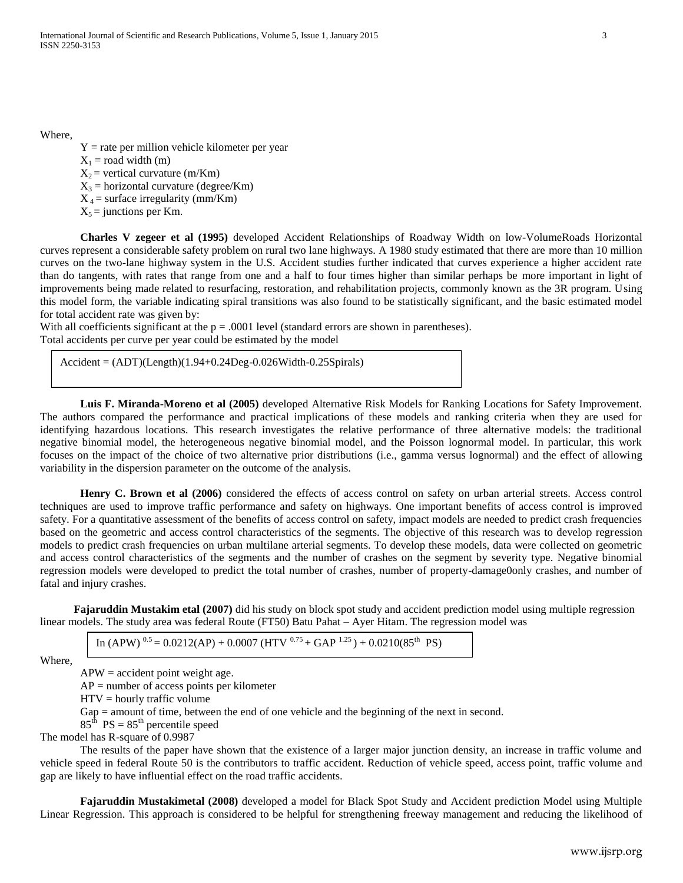Where,

 $Y =$  rate per million vehicle kilometer per year  $X_1$  = road width (m)  $X_2$  = vertical curvature (m/Km)  $X_3$  = horizontal curvature (degree/Km)  $X_4$  = surface irregularity (mm/Km)  $X_5$  = junctions per Km.

**Charles V zegeer et al (1995)** developed Accident Relationships of Roadway Width on low-VolumeRoads Horizontal curves represent a considerable safety problem on rural two lane highways. A 1980 study estimated that there are more than 10 million curves on the two-lane highway system in the U.S. Accident studies further indicated that curves experience a higher accident rate than do tangents, with rates that range from one and a half to four times higher than similar perhaps be more important in light of improvements being made related to resurfacing, restoration, and rehabilitation projects, commonly known as the 3R program. Using this model form, the variable indicating spiral transitions was also found to be statistically significant, and the basic estimated model for total accident rate was given by:

With all coefficients significant at the  $p = .0001$  level (standard errors are shown in parentheses). Total accidents per curve per year could be estimated by the model

 $Accident = (ADT)(Length)(1.94+0.24Deg-0.026Width-0.25Spirals)$ 

**Luis F. Miranda-Moreno et al (2005)** developed Alternative Risk Models for Ranking Locations for Safety Improvement. The authors compared the performance and practical implications of these models and ranking criteria when they are used for identifying hazardous locations. This research investigates the relative performance of three alternative models: the traditional negative binomial model, the heterogeneous negative binomial model, and the Poisson lognormal model. In particular, this work focuses on the impact of the choice of two alternative prior distributions (i.e., gamma versus lognormal) and the effect of allowing variability in the dispersion parameter on the outcome of the analysis.

**Henry C. Brown et al (2006)** considered the effects of access control on safety on urban arterial streets. Access control techniques are used to improve traffic performance and safety on highways. One important benefits of access control is improved safety. For a quantitative assessment of the benefits of access control on safety, impact models are needed to predict crash frequencies based on the geometric and access control characteristics of the segments. The objective of this research was to develop regression models to predict crash frequencies on urban multilane arterial segments. To develop these models, data were collected on geometric and access control characteristics of the segments and the number of crashes on the segment by severity type. Negative binomial regression models were developed to predict the total number of crashes, number of property-damage0only crashes, and number of fatal and injury crashes.

 **Fajaruddin Mustakim etal (2007)** did his study on block spot study and accident prediction model using multiple regression linear models. The study area was federal Route (FT50) Batu Pahat – Ayer Hitam. The regression model was

In  $(APW)^{0.5} = 0.0212(AP) + 0.0007 (HTV)^{0.75} + GAP^{1.25}) + 0.0210(85<sup>th</sup> PS)$ 

Where,

 $APW = accident point weight age.$ 

 $AP =$  number of access points per kilometer

HTV = hourly traffic volume

Gap = amount of time, between the end of one vehicle and the beginning of the next in second.

 $85<sup>th</sup>$  PS =  $85<sup>th</sup>$  percentile speed

The model has R-square of 0.9987

The results of the paper have shown that the existence of a larger major junction density, an increase in traffic volume and vehicle speed in federal Route 50 is the contributors to traffic accident. Reduction of vehicle speed, access point, traffic volume and gap are likely to have influential effect on the road traffic accidents.

**Fajaruddin Mustakimetal (2008)** developed a model for Black Spot Study and Accident prediction Model using Multiple Linear Regression. This approach is considered to be helpful for strengthening freeway management and reducing the likelihood of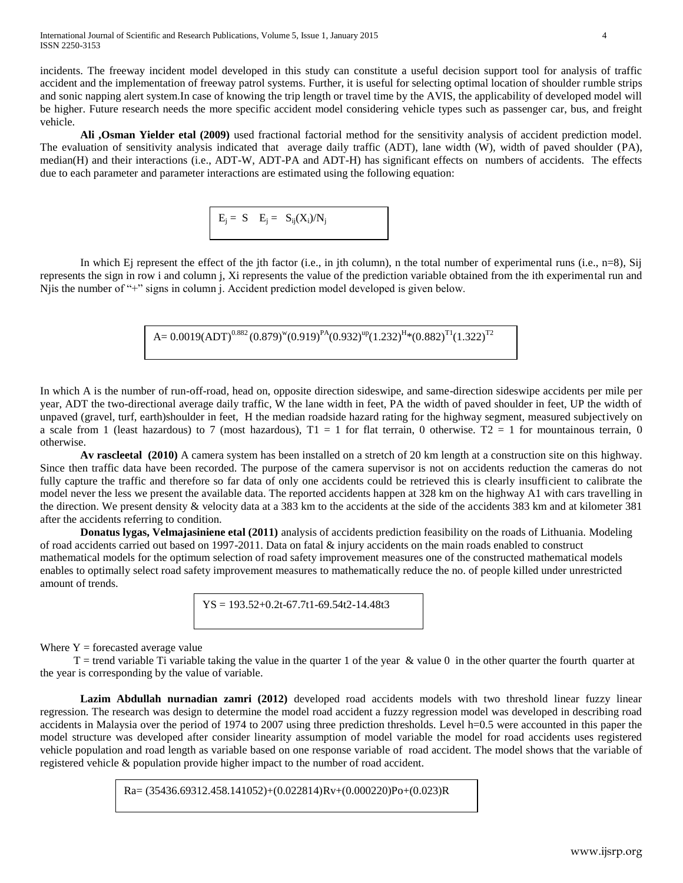incidents. The freeway incident model developed in this study can constitute a useful decision support tool for analysis of traffic accident and the implementation of freeway patrol systems. Further, it is useful for selecting optimal location of shoulder rumble strips and sonic napping alert system.In case of knowing the trip length or travel time by the AVIS, the applicability of developed model will be higher. Future research needs the more specific accident model considering vehicle types such as passenger car, bus, and freight vehicle.

**Ali ,Osman Yielder etal (2009)** used fractional factorial method for the sensitivity analysis of accident prediction model. The evaluation of sensitivity analysis indicated that average daily traffic (ADT), lane width (W), width of paved shoulder (PA), median(H) and their interactions (i.e., ADT-W, ADT-PA and ADT-H) has significant effects on numbers of accidents. The effects due to each parameter and parameter interactions are estimated using the following equation:

 $E_i = S \t E_i = S_{ij}(X_i)/N_i$ 

In which Ej represent the effect of the jth factor (i.e., in jth column), n the total number of experimental runs (i.e., n=8), Sij represents the sign in row i and column j, Xi represents the value of the prediction variable obtained from the ith experimental run and Njis the number of "+" signs in column j. Accident prediction model developed is given below.

 $\rm A\rm = 0.0019(ADT)^{0.882}(0.879)^w(0.919)^{PA}(0.932)^{up}(1.232)^{H}(0.882)^{T1}(1.322)^{T2}$ 

In which A is the number of run-off-road, head on, opposite direction sideswipe, and same-direction sideswipe accidents per mile per year, ADT the two-directional average daily traffic, W the lane width in feet, PA the width of paved shoulder in feet, UP the width of unpaved (gravel, turf, earth)shoulder in feet, H the median roadside hazard rating for the highway segment, measured subjectively on a scale from 1 (least hazardous) to 7 (most hazardous),  $T1 = 1$  for flat terrain, 0 otherwise.  $T2 = 1$  for mountainous terrain, 0 otherwise.

**Av rascleetal (2010)** A camera system has been installed on a stretch of 20 km length at a construction site on this highway. Since then traffic data have been recorded. The purpose of the camera supervisor is not on accidents reduction the cameras do not fully capture the traffic and therefore so far data of only one accidents could be retrieved this is clearly insufficient to calibrate the model never the less we present the available data. The reported accidents happen at 328 km on the highway A1 with cars travelling in the direction. We present density & velocity data at a 383 km to the accidents at the side of the accidents 383 km and at kilometer 381 after the accidents referring to condition.

**Donatus lygas, Velmajasiniene etal (2011)** analysis of accidents prediction feasibility on the roads of Lithuania. Modeling of road accidents carried out based on 1997-2011. Data on fatal & injury accidents on the main roads enabled to construct mathematical models for the optimum selection of road safety improvement measures one of the constructed mathematical models enables to optimally select road safety improvement measures to mathematically reduce the no. of people killed under unrestricted amount of trends.

 $YS = 193.52 + 0.2t - 67.7t1 - 69.54t2 - 14.48t3$ 

Where  $Y =$  forecasted average value

 $T$  = trend variable Ti variable taking the value in the quarter 1 of the year  $\&$  value 0 in the other quarter the fourth quarter at the year is corresponding by the value of variable.

**Lazim Abdullah nurnadian zamri (2012)** developed road accidents models with two threshold linear fuzzy linear regression. The research was design to determine the model road accident a fuzzy regression model was developed in describing road accidents in Malaysia over the period of 1974 to 2007 using three prediction thresholds. Level h=0.5 were accounted in this paper the model structure was developed after consider linearity assumption of model variable the model for road accidents uses registered vehicle population and road length as variable based on one response variable of road accident. The model shows that the variable of registered vehicle & population provide higher impact to the number of road accident.

Ra= (35436.69312.458.141052)+(0.022814)Rv+(0.000220)Po+(0.023)R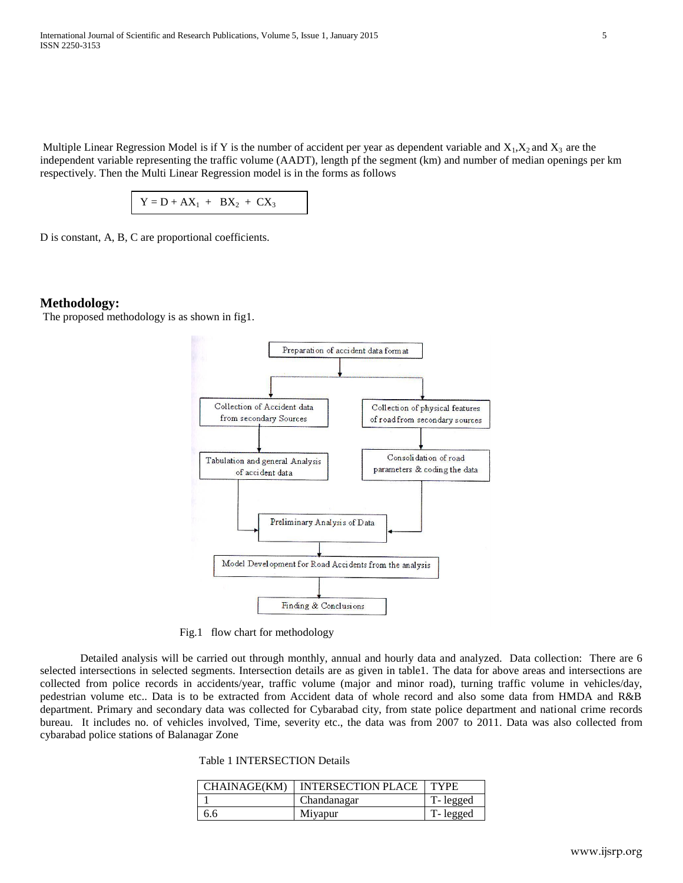Multiple Linear Regression Model is if Y is the number of accident per year as dependent variable and  $X_1, X_2$  and  $X_3$  are the independent variable representing the traffic volume (AADT), length pf the segment (km) and number of median openings per km respectively. Then the Multi Linear Regression model is in the forms as follows

 $Y = D + AX_1 + BX_2 + CX_3$ 

D is constant, A, B, C are proportional coefficients.

#### **Methodology:**

The proposed methodology is as shown in fig1.



Fig.1 flow chart for methodology

Detailed analysis will be carried out through monthly, annual and hourly data and analyzed. Data collection: There are 6 selected intersections in selected segments. Intersection details are as given in table1. The data for above areas and intersections are collected from police records in accidents/year, traffic volume (major and minor road), turning traffic volume in vehicles/day, pedestrian volume etc.. Data is to be extracted from Accident data of whole record and also some data from HMDA and R&B department. Primary and secondary data was collected for Cybarabad city, from state police department and national crime records bureau. It includes no. of vehicles involved, Time, severity etc., the data was from 2007 to 2011. Data was also collected from cybarabad police stations of Balanagar Zone

Table 1 INTERSECTION Details

| CHAINAGE(KM) | <b>INTERSECTION PLACE</b> | <b>TYPE</b> |
|--------------|---------------------------|-------------|
|              | Chandanagar               | T-legged    |
| 6.6          | Miyapur                   | T-legged    |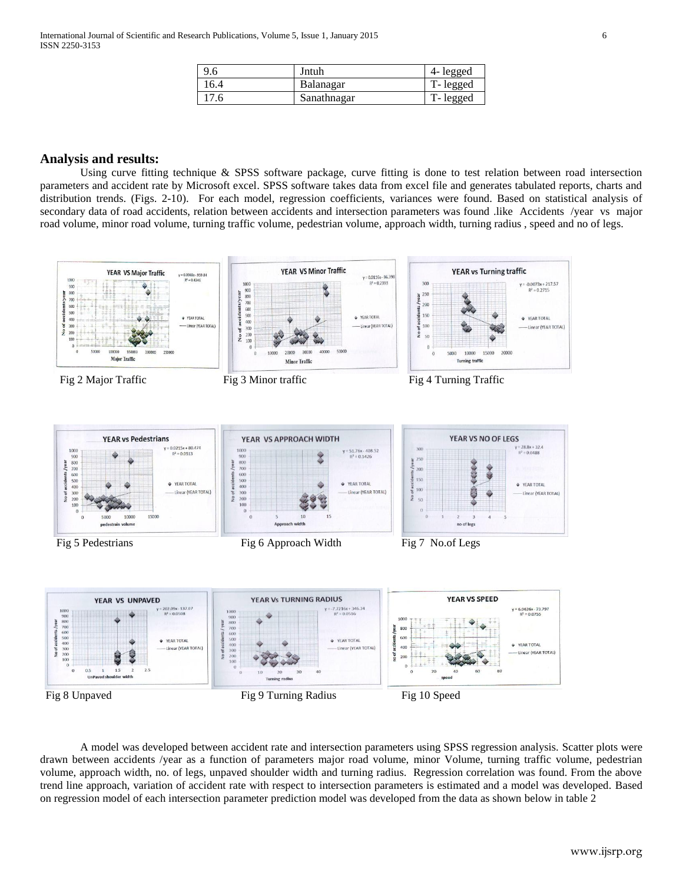| 9.6  | Jntuh       | 4- legged |
|------|-------------|-----------|
| 16.4 | Balanagar   | T-legged  |
| 17.6 | Sanathnagar | T-legged  |

#### **Analysis and results:**

Using curve fitting technique & SPSS software package, curve fitting is done to test relation between road intersection parameters and accident rate by Microsoft excel. SPSS software takes data from excel file and generates tabulated reports, charts and distribution trends. (Figs. 2-10). For each model, regression coefficients, variances were found. Based on statistical analysis of secondary data of road accidents, relation between accidents and intersection parameters was found .like Accidents /year vs major road volume, minor road volume, turning traffic volume, pedestrian volume, approach width, turning radius , speed and no of legs.



A model was developed between accident rate and intersection parameters using SPSS regression analysis. Scatter plots were drawn between accidents /year as a function of parameters major road volume, minor Volume, turning traffic volume, pedestrian volume, approach width, no. of legs, unpaved shoulder width and turning radius. Regression correlation was found. From the above trend line approach, variation of accident rate with respect to intersection parameters is estimated and a model was developed. Based on regression model of each intersection parameter prediction model was developed from the data as shown below in table 2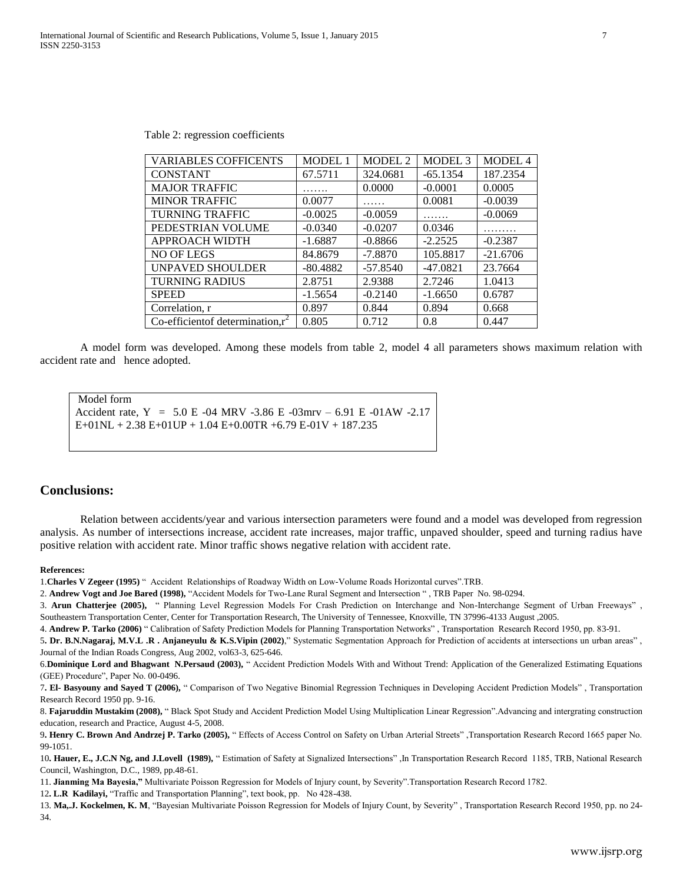| <b>VARIABLES COFFICENTS</b>                     | <b>MODEL 1</b> | <b>MODEL 2</b> | MODEL <sub>3</sub> | MODEL 4    |
|-------------------------------------------------|----------------|----------------|--------------------|------------|
| <b>CONSTANT</b>                                 | 67.5711        | 324,0681       | $-65.1354$         | 187.2354   |
| <b>MAJOR TRAFFIC</b>                            |                | 0.0000         | $-0.0001$          | 0.0005     |
| <b>MINOR TRAFFIC</b>                            | 0.0077         |                | 0.0081             | $-0.0039$  |
| <b>TURNING TRAFFIC</b>                          | $-0.0025$      | $-0.0059$      |                    | $-0.0069$  |
| PEDESTRIAN VOLUME                               | $-0.0340$      | $-0.0207$      | 0.0346             |            |
| <b>APPROACH WIDTH</b>                           | $-1.6887$      | $-0.8866$      | $-2.2525$          | $-0.2387$  |
| NO OF LEGS                                      | 84.8679        | $-7.8870$      | 105.8817           | $-21.6706$ |
| UNPAVED SHOULDER                                | $-80.4882$     | $-57.8540$     | $-47.0821$         | 23.7664    |
| <b>TURNING RADIUS</b>                           | 2.8751         | 2.9388         | 2.7246             | 1.0413     |
| <b>SPEED</b>                                    | $-1.5654$      | $-0.2140$      | $-1.6650$          | 0.6787     |
| Correlation, r                                  | 0.897          | 0.844          | 0.894              | 0.668      |
| Co-efficient of determination, $\overline{r^2}$ | 0.805          | 0.712          | 0.8                | 0.447      |

Table 2: regression coefficients

A model form was developed. Among these models from table 2, model 4 all parameters shows maximum relation with accident rate and hence adopted.

```
Model form
```
Accident rate, Y = 5.0 E -04 MRV -3.86 E -03mrv – 6.91 E -01AW -2.17

E+01NL + 2.38 E+01UP + 1.04 E+0.00TR +6.79 E-01V + 187.235

#### **Conclusions:**

Relation between accidents/year and various intersection parameters were found and a model was developed from regression analysis. As number of intersections increase, accident rate increases, major traffic, unpaved shoulder, speed and turning radius have positive relation with accident rate. Minor traffic shows negative relation with accident rate.

#### **References:**

1.**Charles V Zegeer (1995)** " Accident Relationships of Roadway Width on Low-Volume Roads Horizontal curves".TRB.

2. **Andrew Vogt and Joe Bared (1998),** "Accident Models for Two-Lane Rural Segment and Intersection " , TRB Paper No. 98-0294.

3. **Arun Chatterjee (2005),** " Planning Level Regression Models For Crash Prediction on Interchange and Non-Interchange Segment of Urban Freeways" , Southeastern Transportation Center, Center for Transportation Research, The University of Tennessee, Knoxville, TN 37996-4133 August ,2005.

4. **Andrew P. Tarko (2006)** " Calibration of Safety Prediction Models for Planning Transportation Networks" , Transportation Research Record 1950, pp. 83-91.

5**. Dr. B.N.Nagaraj, M.V.L .R . Anjaneyulu & K.S.Vipin (2002)**," Systematic Segmentation Approach for Prediction of accidents at intersections un urban areas" , Journal of the Indian Roads Congress, Aug 2002, vol63-3, 625-646.

6.**Dominique Lord and Bhagwant N.Persaud (2003),** " Accident Prediction Models With and Without Trend: Application of the Generalized Estimating Equations (GEE) Procedure", Paper No. 00-0496.

7**. El- Basyouny and Sayed T (2006),** " Comparison of Two Negative Binomial Regression Techniques in Developing Accident Prediction Models" , Transportation Research Record 1950 pp. 9-16.

8. **Fajaruddin Mustakim (2008),** " Black Spot Study and Accident Prediction Model Using Multiplication Linear Regression".Advancing and intergrating construction education, research and Practice, August 4-5, 2008.

9**. Henry C. Brown And Andrzej P. Tarko (2005),** " Effects of Access Control on Safety on Urban Arterial Streets" ,Transportation Research Record 1665 paper No. 99-1051.

10**. Hauer, E., J.C.N Ng, and J.Lovell (1989),** " Estimation of Safety at Signalized Intersections" ,In Transportation Research Record 1185, TRB, National Research Council, Washington, D.C., 1989, pp.48-61.

11. **Jianming Ma Bayesia,"** Multivariate Poisson Regression for Models of Injury count, by Severity".Transportation Research Record 1782.

12**. L.R Kadilayi,** "Traffic and Transportation Planning", text book, pp. No 428-438.

13. Ma, J. Kockelmen, K. M, "Bayesian Multivariate Poisson Regression for Models of Injury Count, by Severity", Transportation Research Record 1950, pp. no 24-34.